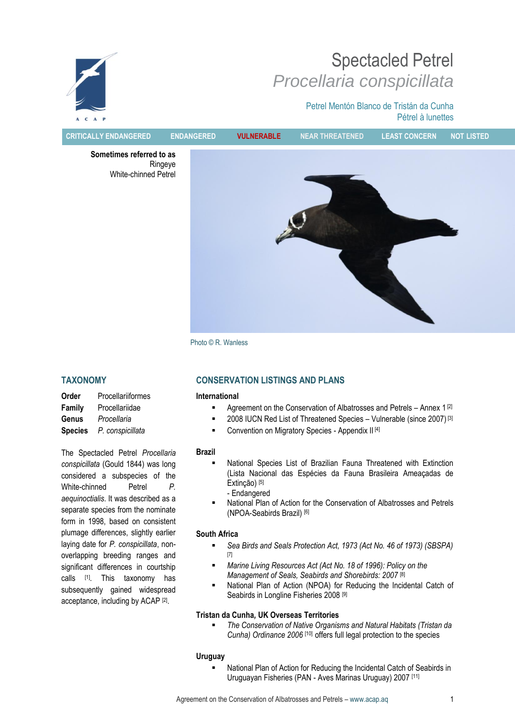# Spectacled Petrel *Procellaria conspicillata*

Petrel Mentón Blanco de Tristán da Cunha Pétrel à lunettes



**CRITICALLY ENDANGERED ENDANGERED VULNERABLE NEAR THREATENED LEAST CONCERN NOT LISTED**

**Sometimes referred to as** Ringeye White-chinned Petrel



Photo © R. Wanless

# **TAXONOMY**

| Order          | Procellariiformes |
|----------------|-------------------|
| <b>Family</b>  | Procellariidae    |
| Genus          | Procellaria       |
| <b>Species</b> | P. conspicillata  |

The Spectacled Petrel *Procellaria conspicillata* (Gould 1844) was long considered a subspecies of the White-chinned Petrel *P. aequinoctialis*. It was described as a separate species from the nominate form in 1998, based on consistent plumage differences, slightly earlier laying date for *P. conspicillata*, nonoverlapping breeding ranges and significant differences in courtship calls <sup>[1]</sup>. This taxonomy has subsequently gained widespread acceptance, including by ACAP<sup>[2]</sup>.

# **CONSERVATION LISTINGS AND PLANS**

#### **International**

- Agreement on the Conservation of Albatrosses and Petrels Annex 1 [2]
- 2008 IUCN Red List of Threatened Species Vulnerable (since 2007) [3]
- Convention on Migratory Species Appendix II [4]

#### **Brazil**

- National Species List of Brazilian Fauna Threatened with Extinction (Lista Nacional das Espécies da Fauna Brasileira Ameaçadas de Extinção) [5] - Endangered
- National Plan of Action for the Conservation of Albatrosses and Petrels (NPOA-Seabirds Brazil) [6]

#### **South Africa**

- *Sea Birds and Seals Protection Act, 1973 (Act No. 46 of 1973) (SBSPA)* [7]
- *Marine Living Resources Act (Act No. 18 of 1996): Policy on the Management of Seals, Seabirds and Shorebirds: 2007* [8]
- National Plan of Action (NPOA) for Reducing the Incidental Catch of Seabirds in Longline Fisheries 2008 [9]

#### **Tristan da Cunha***,* **UK Overseas Territories**

 *The Conservation of Native Organisms and Natural Habitats (Tristan da Cunha) Ordinance 2006* [10] offers full legal protection to the species

#### **Uruguay**

 National Plan of Action for Reducing the Incidental Catch of Seabirds in Uruguayan Fisheries (PAN - Aves Marinas Uruguay) 2007 [11]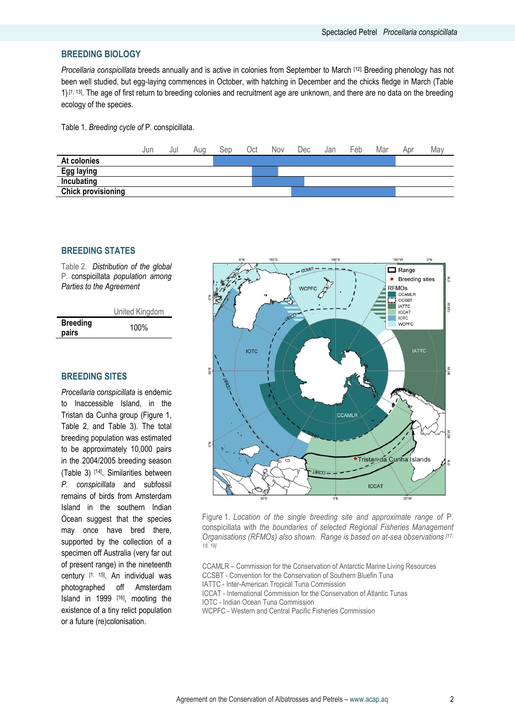## **BREEDING BIOLOGY**

*Procellaria conspicillata* breeds annually and is active in colonies from September to March [12]. Breeding phenology has not been well studied, but egg-laying commences in October, with hatching in December and the chicks fledge in March (Table 1) [1, 13] . The age of first return to breeding colonies and recruitment age are unknown, and there are no data on the breeding ecology of the species.

Table 1. *Breeding cycle of* P. conspicillata.



# **BREEDING STATES**

Table 2. *Distribution of the global* P. conspicillata *population among Parties to the Agreement* 

|                          | United Kingdom |
|--------------------------|----------------|
| <b>Breeding</b><br>pairs | 100%           |

# **BREEDING SITES**

*Procellaria conspicillata* is endemic to Inaccessible Island, in the Tristan da Cunha group (Figure 1, Table 2, and Table 3). The total breeding population was estimated to be approximately 10,000 pairs in the 2004/2005 breeding season (Table 3) [14] . Similarities between *P. conspicillata* and subfossil remains of birds from Amsterdam Island in the southern Indian Ocean suggest that the species may once have bred there, supported by the collection of a specimen off Australia (very far out of present range) in the nineteenth century [1, 15]. An individual was photographed off Amsterdam Island in 1999 [16], mooting the existence of a tiny relict population or a future (re)colonisation.



Figure 1. *Location of the single breeding site and approximate range of* P. conspicillata with *the boundaries of selected Regional Fisheries Management Organisations (RFMOs) also shown. Range is based on at-sea observations [17, 18, 19]*

CCAMLR – Commission for the Conservation of Antarctic Marine Living Resources CCSBT - Convention for the Conservation of Southern Bluefin Tuna IATTC - Inter-American Tropical Tuna Commission ICCAT - International Commission for the Conservation of Atlantic Tunas

- IOTC Indian Ocean Tuna Commission
- WCPFC Western and Central Pacific Fisheries Commission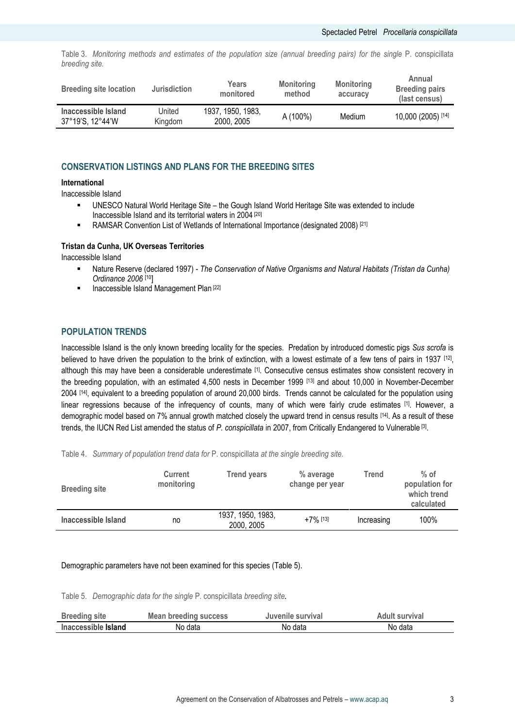Table 3. *Monitoring methods and estimates of the population size (annual breeding pairs) for the single* P. conspicillata *breeding site.* 

| <b>Breeding site location</b>           | <b>Jurisdiction</b> | Years<br>monitored              | <b>Monitoring</b><br>method | <b>Monitoring</b><br>accuracy | Annual<br><b>Breeding pairs</b><br>(last census) |
|-----------------------------------------|---------------------|---------------------------------|-----------------------------|-------------------------------|--------------------------------------------------|
| Inaccessible Island<br>37°19′S, 12°44′W | United<br>Kingdom   | 1937. 1950. 1983.<br>2000, 2005 | A (100%)                    | Medium                        | 10,000 (2005) [14]                               |

# **CONSERVATION LISTINGS AND PLANS FOR THE BREEDING SITES**

#### **International**

Inaccessible Island

- UNESCO Natural World Heritage Site the Gough Island World Heritage Site was extended to include Inaccessible Island and its territorial waters in 2004 [20]
- RAMSAR Convention List of Wetlands of International Importance (designated 2008)<sup>[21]</sup>

#### **Tristan da Cunha, UK Overseas Territories**

Inaccessible Island

- Nature Reserve (declared 1997) *The Conservation of Native Organisms and Natural Habitats (Tristan da Cunha) Ordinance 2006* [10]
- **Inaccessible Island Management Plan [22]**

#### **POPULATION TRENDS**

Inaccessible Island is the only known breeding locality for the species. Predation by introduced domestic pigs *Sus scrofa* is believed to have driven the population to the brink of extinction, with a lowest estimate of a few tens of pairs in 1937 [12], although this may have been a considerable underestimate [1]. Consecutive census estimates show consistent recovery in the breeding population, with an estimated 4,500 nests in December 1999 [13] and about 10,000 in November-December 2004 [14] , equivalent to a breeding population of around 20,000 birds. Trends cannot be calculated for the population using linear regressions because of the infrequency of counts, many of which were fairly crude estimates [1]. However, a demographic model based on 7% annual growth matched closely the upward trend in census results [14]. As a result of these trends, the IUCN Red List amended the status of P. conspicillata in 2007, from Critically Endangered to Vulnerable<sup>[3]</sup>.

Table 4. *Summary of population trend data for* P. conspicillata *at the single breeding site.*

| <b>Breeding site</b> | <b>Current</b><br>monitoring | <b>Trend years</b>              | % average<br>change per year | Trend      | $%$ of<br>population for<br>which trend<br>calculated |
|----------------------|------------------------------|---------------------------------|------------------------------|------------|-------------------------------------------------------|
| Inaccessible Island  | no                           | 1937, 1950, 1983,<br>2000, 2005 | $+7\%$ [13]                  | Increasing | 100%                                                  |

#### Demographic parameters have not been examined for this species (Table 5).

Table 5. *Demographic data for the single* P. conspicillata *breeding site.*

| <b>Breeding site</b> | <b>Mean breeding success</b> | Juvenile survival | Adult survival |
|----------------------|------------------------------|-------------------|----------------|
| Inaccessible Island  | No data                      | No data           | No data        |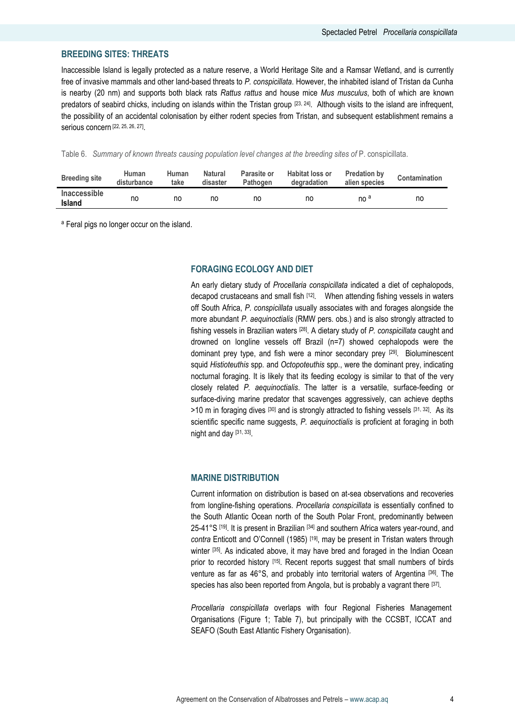# **BREEDING SITES: THREATS**

Inaccessible Island is legally protected as a nature reserve, a World Heritage Site and a Ramsar Wetland, and is currently free of invasive mammals and other land-based threats to *P. conspicillata*. However, the inhabited island of Tristan da Cunha is nearby (20 nm) and supports both black rats *Rattus rattus* and house mice *Mus musculus*, both of which are known predators of seabird chicks, including on islands within the Tristan group [23, 24]. Although visits to the island are infrequent, the possibility of an accidental colonisation by either rodent species from Tristan, and subsequent establishment remains a serious concern [22, 25, 26, 27] .

Table 6. Summary of known threats causing population level changes at the breeding sites of P. conspicillata.

| <b>Breeding site</b>                 | Human<br>disturbance | Human<br>take | Natural<br>disaster | Parasite or<br>Pathogen | <b>Habitat loss or</b><br>degradation | <b>Predation by</b><br>alien species | Contamination |
|--------------------------------------|----------------------|---------------|---------------------|-------------------------|---------------------------------------|--------------------------------------|---------------|
| <b>Inaccessible</b><br><b>Island</b> | no                   | no            | no                  | no                      | no                                    | no <sup>a</sup>                      | no            |

<sup>a</sup> Feral pigs no longer occur on the island.

#### **FORAGING ECOLOGY AND DIET**

An early dietary study of *Procellaria conspicillata* indicated a diet of cephalopods, decapod crustaceans and small fish <sup>[12]</sup>. When attending fishing vessels in waters off South Africa, *P. conspicillata* usually associates with and forages alongside the more abundant *P. aequinoctialis* (RMW pers. obs.) and is also strongly attracted to fishing vessels in Brazilian waters [28] . A dietary study of *P. conspicillata* caught and drowned on longline vessels off Brazil (n=7) showed cephalopods were the dominant prey type, and fish were a minor secondary prey [29]. Bioluminescent squid *Histioteuthis* spp*.* and *Octopoteuthis* spp*.*, were the dominant prey, indicating nocturnal foraging. It is likely that its feeding ecology is similar to that of the very closely related *P. aequinoctialis*. The latter is a versatile, surface-feeding or surface-diving marine predator that scavenges aggressively, can achieve depths  $>10$  m in foraging dives  $[30]$  and is strongly attracted to fishing vessels  $[31, 32]$ . As its scientific specific name suggests, *P. aequinoctialis* is proficient at foraging in both night and day [31, 33].

#### **MARINE DISTRIBUTION**

Current information on distribution is based on at-sea observations and recoveries from longline-fishing operations. *Procellaria conspicillata* is essentially confined to the South Atlantic Ocean north of the South Polar Front, predominantly between 25-41°S [19]. It is present in Brazilian [34] and southern Africa waters year-round, and *contra* Enticott and O'Connell (1985) [19] , may be present in Tristan waters through winter [35]. As indicated above, it may have bred and foraged in the Indian Ocean prior to recorded history [15]. Recent reports suggest that small numbers of birds venture as far as 46°S, and probably into territorial waters of Argentina [36] . The species has also been reported from Angola, but is probably a vagrant there [37].

*Procellaria conspicillata* overlaps with four Regional Fisheries Management Organisations (Figure 1; Table 7), but principally with the CCSBT, ICCAT and SEAFO (South East Atlantic Fishery Organisation).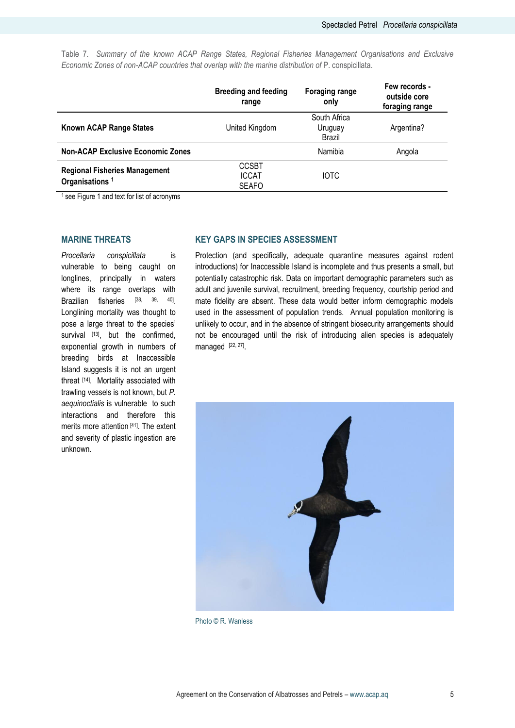Table 7. *Summary of the known ACAP Range States, Regional Fisheries Management Organisations and Exclusive Economic Zones of non-ACAP countries that overlap with the marine distribution of* P. conspicillata.

|                                                                    | <b>Breeding and feeding</b><br>range         | <b>Foraging range</b><br>only     | Few records -<br>outside core<br>foraging range |
|--------------------------------------------------------------------|----------------------------------------------|-----------------------------------|-------------------------------------------------|
| <b>Known ACAP Range States</b>                                     | United Kingdom                               | South Africa<br>Uruguay<br>Brazil | Argentina?                                      |
| <b>Non-ACAP Exclusive Economic Zones</b>                           |                                              | Namibia                           | Angola                                          |
| <b>Regional Fisheries Management</b><br>Organisations <sup>1</sup> | <b>CCSBT</b><br><b>ICCAT</b><br><b>SEAFO</b> | <b>IOTC</b>                       |                                                 |

<sup>1</sup> see Figure 1 and text for list of acronyms

#### **MARINE THREATS**

*Procellaria conspicillata* is vulnerable to being caught on longlines, principally in waters where its range overlaps with Brazilian fisheries <sup>[38, 39, 40]</sup>. Longlining mortality was thought to pose a large threat to the species' survival [13], but the confirmed, exponential growth in numbers of breeding birds at Inaccessible Island suggests it is not an urgent threat [14]. Mortality associated with trawling vessels is not known, but *P. aequinoctialis* is vulnerable to such interactions and therefore this merits more attention [41]. The extent and severity of plastic ingestion are unknown.

# **KEY GAPS IN SPECIES ASSESSMENT**

Protection (and specifically, adequate quarantine measures against rodent introductions) for Inaccessible Island is incomplete and thus presents a small, but potentially catastrophic risk. Data on important demographic parameters such as adult and juvenile survival, recruitment, breeding frequency, courtship period and mate fidelity are absent. These data would better inform demographic models used in the assessment of population trends. Annual population monitoring is unlikely to occur, and in the absence of stringent biosecurity arrangements should not be encouraged until the risk of introducing alien species is adequately managed  $[22, 27]$ .



Photo © R. Wanless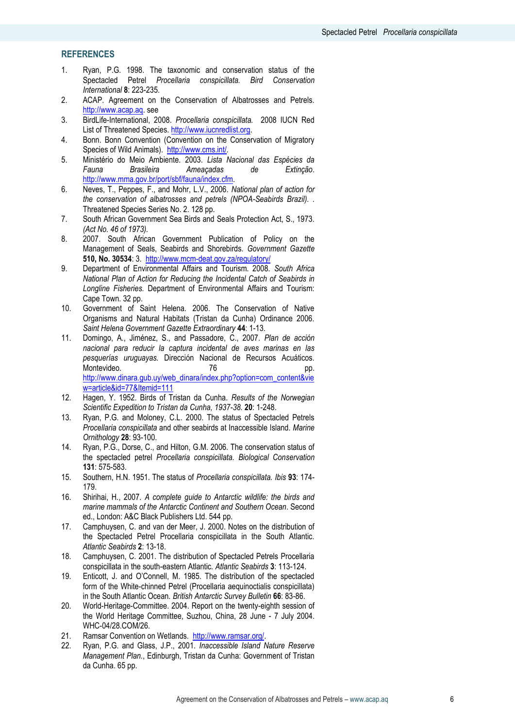# **REFERENCES**

- 1. Ryan, P.G. 1998. The taxonomic and conservation status of the Spectacled Petrel *Procellaria conspicillata. Bird Conservation International* **8**: 223-235.
- 2. ACAP. Agreement on the Conservation of Albatrosses and Petrels. [http://www.acap.aq.](http://www.acap.aq/) see
- 3. BirdLife-International, 2008. *Procellaria conspicillata.* 2008 IUCN Red List of Threatened Species. http://www.iucnredlist.org.
- 4. Bonn. Bonn Convention (Convention on the Conservation of Migratory Species of Wild Animals). <http://www.cms.int/>*.*
- 5. Ministério do Meio Ambiente. 2003. *Lista Nacional das Espécies da Fauna Brasileira Ameaçadas de Extinção*. [http://www.mma.gov.br/port/sbf/fauna/index.cfm.](http://www.mma.gov.br/port/sbf/fauna/index.cfm)
- 6. Neves, T., Peppes, F., and Mohr, L.V., 2006. *National plan of action for the conservation of albatrosses and petrels (NPOA-Seabirds Brazil). .* Threatened Species Series No. 2. 128 pp.
- 7. South African Government Sea Birds and Seals Protection Act, S., 1973. *(Act No. 46 of 1973).*
- 8. 2007. South African Government Publication of Policy on the Management of Seals, Seabirds and Shorebirds*. Government Gazette* **510, No. 30534**: 3.<http://www.mcm-deat.gov.za/regulatory/>
- 9. Department of Environmental Affairs and Tourism. 2008. *South Africa National Plan of Action for Reducing the Incidental Catch of Seabirds in Longline Fisheries.* Department of Environmental Affairs and Tourism: Cape Town. 32 pp.
- 10. Government of Saint Helena. 2006. The Conservation of Native Organisms and Natural Habitats (Tristan da Cunha) Ordinance 2006*. Saint Helena Government Gazette Extraordinary* **44**: 1-13.
- 11. Domingo, A., Jiménez, S., and Passadore, C., 2007. *Plan de acción nacional para reducir la captura incidental de aves marinas en las pesquerías uruguayas.* Dirección Nacional de Recursos Acuáticos. Montevideo. 76 pp. [http://www.dinara.gub.uy/web\\_dinara/index.php?option=com\\_content&vie](http://www.dinara.gub.uy/web_dinara/index.php?option=com_content&view=article&id=77&Itemid=111) [w=article&id=77&Itemid=111](http://www.dinara.gub.uy/web_dinara/index.php?option=com_content&view=article&id=77&Itemid=111)
- 12. Hagen, Y. 1952. Birds of Tristan da Cunha. *Results of the Norwegian Scientific Expedition to Tristan da Cunha, 1937-38.* **20**: 1-248.
- 13. Ryan, P.G. and Moloney, C.L. 2000. The status of Spectacled Petrels *Procellaria conspicillata* and other seabirds at Inaccessible Island*. Marine Ornithology* **28**: 93-100.
- 14. Ryan, P.G., Dorse, C., and Hilton, G.M. 2006. The conservation status of the spectacled petrel *Procellaria conspicillata. Biological Conservation* **131**: 575-583.
- 15. Southern, H.N. 1951. The status of *Procellaria conspicillata. Ibis* **93**: 174- 179.
- 16. Shirihai, H., 2007. *A complete guide to Antarctic wildlife: the birds and marine mammals of the Antarctic Continent and Southern Ocean*. Second ed., London: A&C Black Publishers Ltd. 544 pp.
- 17. Camphuysen, C. and van der Meer, J. 2000. Notes on the distribution of the Spectacled Petrel Procellaria conspicillata in the South Atlantic*. Atlantic Seabirds* **2**: 13-18.
- 18. Camphuysen, C. 2001. The distribution of Spectacled Petrels Procellaria conspicillata in the south-eastern Atlantic*. Atlantic Seabirds* **3**: 113-124.
- 19. Enticott, J. and O'Connell, M. 1985. The distribution of the spectacled form of the White-chinned Petrel (Procellaria aequinoctialis conspicillata) in the South Atlantic Ocean*. British Antarctic Survey Bulletin* **66**: 83-86.
- 20. World-Heritage-Committee. 2004. Report on the twenty-eighth session of the World Heritage Committee, Suzhou, China, 28 June - 7 July 2004. WHC-04/28.COM/26*.*
- 21. Ramsar Convention on Wetlands. [http://www.ramsar.org/.](http://www.ramsar.org/)
- 22. Ryan, P.G. and Glass, J.P., 2001. *Inaccessible Island Nature Reserve Management Plan.*, Edinburgh, Tristan da Cunha: Government of Tristan da Cunha. 65 pp.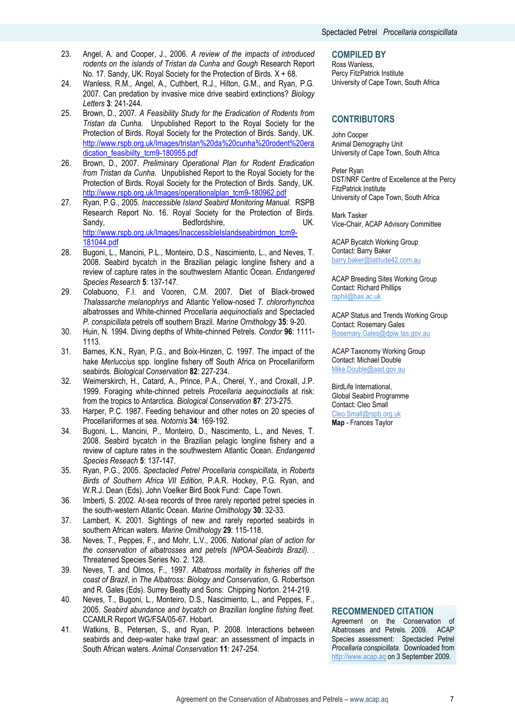- 23. Angel, A. and Cooper, J., 2006. *A review of the impacts of introduced rodents on the islands of Tristan da Cunha and Gough* Research Report No. 17. Sandy, UK: Royal Society for the Protection of Birds. X + 68.
- 24. Wanless, R.M., Angel, A., Cuthbert, R.J., Hilton, G.M., and Ryan, P.G. 2007. Can predation by invasive mice drive seabird extinctions? *Biology Letters* **3**: 241-244.
- 25. Brown, D., 2007. *A Feasibility Study for the Eradication of Rodents from Tristan da Cunha.* Unpublished Report to the Royal Society for the Protection of Birds. Royal Society for the Protection of Birds. Sandy, UK. [http://www.rspb.org.uk/Images/tristan%20da%20cunha%20rodent%20era](http://www.rspb.org.uk/Images/tristan%20da%20cunha%20rodent%20eradication_feasibiilty_tcm9-180955.pdf) [dication\\_feasibiilty\\_tcm9-180955.pdf](http://www.rspb.org.uk/Images/tristan%20da%20cunha%20rodent%20eradication_feasibiilty_tcm9-180955.pdf)
- 26. Brown, D., 2007. *Preliminary Operational Plan for Rodent Eradication from Tristan da Cunha.* Unpublished Report to the Royal Society for the Protection of Birds. Royal Society for the Protection of Birds. Sandy, UK. [http://www.rspb.org.uk/Images/operationalplan\\_tcm9-180962.pdf](http://www.rspb.org.uk/Images/operationalplan_tcm9-180962.pdf)
- 27. Ryan, P.G., 2005. *Inaccessible Island Seabird Monitoring Manual.* RSPB Research Report No. 16. Royal Society for the Protection of Birds. Sandy, Bedfordshire, UK. [http://www.rspb.org.uk/Images/InaccessibleIslandseabirdmon\\_tcm9-](http://www.rspb.org.uk/Images/InaccessibleIslandseabirdmon_tcm9-181044.pdf) [181044.pdf](http://www.rspb.org.uk/Images/InaccessibleIslandseabirdmon_tcm9-181044.pdf)
- 28. Bugoni, L., Mancini, P.L., Monteiro, D.S., Nascimiento, L., and Neves, T. 2008. Seabird bycatch in the Brazilian pelagic longline fishery and a review of capture rates in the southwestern Atlantic Ocean*. Endangered Species Research* **5**: 137-147.
- 29. Colabuono, F.I. and Vooren, C.M. 2007. Diet of Black-browed *Thalassarche melanophrys* and Atlantic Yellow-nosed *T. chlororhynchos* albatrosses and White-chinned *Procellaria aequinoctialis* and Spectacled *P. conspicillata* petrels off southern Brazil*. Marine Ornithology* **35**: 9-20.
- 30. Huin, N. 1994. Diving depths of White-chinned Petrels*. Condor* **96**: 1111- 1113.
- 31. Barnes, K.N., Ryan, P.G., and Boix-Hinzen, C. 1997. The impact of the hake *Merluccius* spp. longline fishery off South Africa on Procellariiform seabirds*. Biological Conservation* **82**: 227-234.
- 32. Weimerskirch, H., Catard, A., Prince, P.A., Cherel, Y., and Croxall, J.P. 1999. Foraging white-chinned petrels *Procellaria aequinoctialis* at risk: from the tropics to Antarctica*. Biological Conservation* **87**: 273-275.
- 33. Harper, P.C. 1987. Feeding behaviour and other notes on 20 species of Procellariiformes at sea*. Notornis* **34**: 169-192.
- 34. Bugoni, L., Mancini, P., Monteiro, D., Nascimento, L., and Neves, T. 2008. Seabird bycatch in the Brazilian pelagic longline fishery and a review of capture rates in the southwestern Atlantic Ocean*. Endangered Species Reseach* **5**: 137-147.
- 35. Ryan, P.G., 2005. *Spectacled Petrel Procellaria conspicillata*, in *Roberts Birds of Southern Africa VII Edition*, P.A.R. Hockey, P.G. Ryan, and W.R.J. Dean (Eds). John Voelker Bird Book Fund: Cape Town.
- 36. Imberti, S. 2002. At-sea records of three rarely reported petrel species in the south-western Atlantic Ocean*. Marine Ornithology* **30**: 32-33.
- 37. Lambert, K. 2001. Sightings of new and rarely reported seabirds in southern African waters*. Marine Ornithology* **29**: 115-118.
- 38. Neves, T., Peppes, F., and Mohr, L.V., 2006. *National plan of action for the conservation of albatrosses and petrels (NPOA-Seabirds Brazil). .* Threatened Species Series No. 2. 128.
- 39. Neves, T. and Olmos, F., 1997. *Albatross mortality in fisheries off the coast of Brazil*, in *The Albatross: Biology and Conservation*, G. Robertson and R. Gales (Eds). Surrey Beatty and Sons: Chipping Norton. 214-219.
- 40. Neves, T., Bugoni, L., Monteiro, D.S., Nascimiento, L., and Peppes, F., 2005. *Seabird abundance and bycatch on Brazilian longline fishing fleet.* CCAMLR Report WG/FSA/05-67. Hobart.
- 41. Watkins, B., Petersen, S., and Ryan, P. 2008. Interactions between seabirds and deep-water hake trawl gear: an assessment of impacts in South African waters*. Animal Conservation* **11**: 247-254.

#### **COMPILED BY**

Ross Wanless, Percy FitzPatrick Institute University of Cape Town, South Africa

#### **CONTRIBUTORS**

John Cooper Animal Demography Unit University of Cape Town, South Africa

Peter Ryan DST/NRF Centre of Excellence at the Percy FitzPatrick Institute University of Cape Town, South Africa

Mark Tasker Vice-Chair, ACAP Advisory Committee

ACAP Bycatch Working Group Contact: Barry Baker [barry.baker@latitude42.com.au](mailto:barry.baker@latitude42.com.au)

ACAP Breeding Sites Working Group Contact: Richard Phillips [raphil@bas.ac.uk](mailto:raphil@bas.ac.uk)

ACAP Status and Trends Working Group Contact: Rosemary Gales [Rosemary.Gales@dpiw.tas.gov.au](mailto:Rosemary.Gales@dpiw.tas.gov.au)

ACAP Taxonomy Working Group Contact: Michael Double [Mike.Double@aad.gov.au](mailto:Mike.Double@aad.gov.au)

BirdLife International, Global Seabird Programme Contact: Cleo Small [Cleo.Small@rspb.org.uk](mailto:Cleo.Small@rspb.org.uk) **Map** - Frances Taylor

#### **RECOMMENDED CITATION**

Agreement on the Conservation of Albatrosses and Petrels. 2009*.* ACAP Species assessment: Spectacled Petrel *Procellaria conspicillata.* Downloaded from [http://www.acap.aq](http://www.acap.aq/) on 3 September 2009.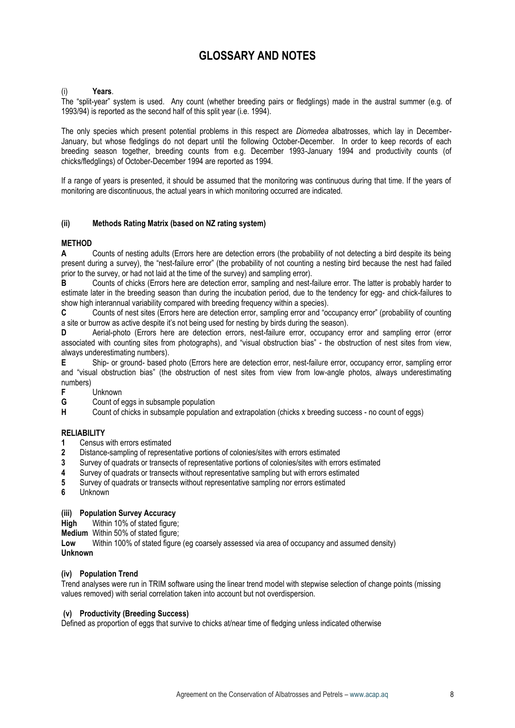# **GLOSSARY AND NOTES**

#### (i) **Years**.

The "split-year" system is used. Any count (whether breeding pairs or fledglings) made in the austral summer (e.g. of 1993/94) is reported as the second half of this split year (i.e. 1994).

The only species which present potential problems in this respect are *Diomedea* albatrosses, which lay in December-January, but whose fledglings do not depart until the following October-December. In order to keep records of each breeding season together, breeding counts from e.g. December 1993-January 1994 and productivity counts (of chicks/fledglings) of October-December 1994 are reported as 1994.

If a range of years is presented, it should be assumed that the monitoring was continuous during that time. If the years of monitoring are discontinuous, the actual years in which monitoring occurred are indicated.

#### **(ii) Methods Rating Matrix (based on NZ rating system)**

# **METHOD**

**A** Counts of nesting adults (Errors here are detection errors (the probability of not detecting a bird despite its being present during a survey), the "nest-failure error" (the probability of not counting a nesting bird because the nest had failed prior to the survey, or had not laid at the time of the survey) and sampling error).

**B** Counts of chicks (Errors here are detection error, sampling and nest-failure error. The latter is probably harder to estimate later in the breeding season than during the incubation period, due to the tendency for egg- and chick-failures to show high interannual variability compared with breeding frequency within a species).

**C** Counts of nest sites (Errors here are detection error, sampling error and "occupancy error" (probability of counting a site or burrow as active despite it's not being used for nesting by birds during the season).

**D** Aerial-photo (Errors here are detection errors, nest-failure error, occupancy error and sampling error (error associated with counting sites from photographs), and "visual obstruction bias" - the obstruction of nest sites from view, always underestimating numbers).

**E** Ship- or ground- based photo (Errors here are detection error, nest-failure error, occupancy error, sampling error and "visual obstruction bias" (the obstruction of nest sites from view from low-angle photos, always underestimating numbers)<br>F

**F** Unknown

**G** Count of eggs in subsample population<br> **H** Count of chicks in subsample population

**H** Count of chicks in subsample population and extrapolation (chicks x breeding success - no count of eggs)

#### **RELIABILITY**

- **1** Census with errors estimated
- **2** Distance-sampling of representative portions of colonies/sites with errors estimated
- **3** Survey of quadrats or transects of representative portions of colonies/sites with errors estimated
- **4** Survey of quadrats or transects without representative sampling but with errors estimated
- **5** Survey of quadrats or transects without representative sampling nor errors estimated
- **6** Unknown

#### **(iii) Population Survey Accuracy**

**High** Within 10% of stated figure;

**Medium** Within 50% of stated figure;

**Low** Within 100% of stated figure (eg coarsely assessed via area of occupancy and assumed density)

#### **Unknown**

#### **(iv) Population Trend**

Trend analyses were run in TRIM software using the linear trend model with stepwise selection of change points (missing values removed) with serial correlation taken into account but not overdispersion.

#### **(v) Productivity (Breeding Success)**

Defined as proportion of eggs that survive to chicks at/near time of fledging unless indicated otherwise